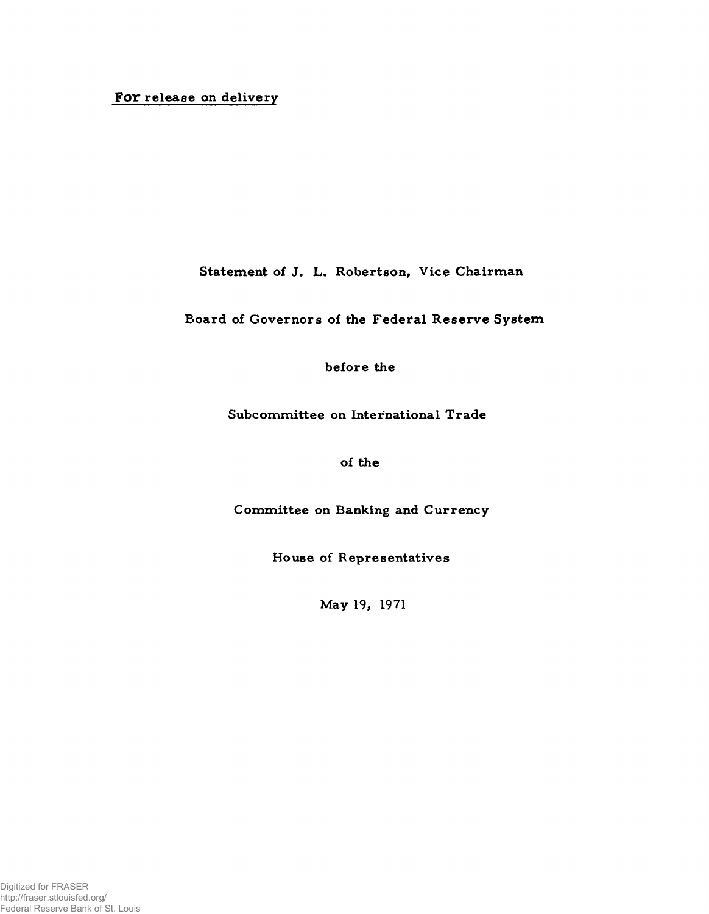# **For** release on delivery

Statement of J. L. Robertson, Vice Chairman

Board of Governors of the Federal Reserve System

before the

Subcommittee on International Trade

of the

Committee on Banking and Currency

House of Representatives

May 19, 1971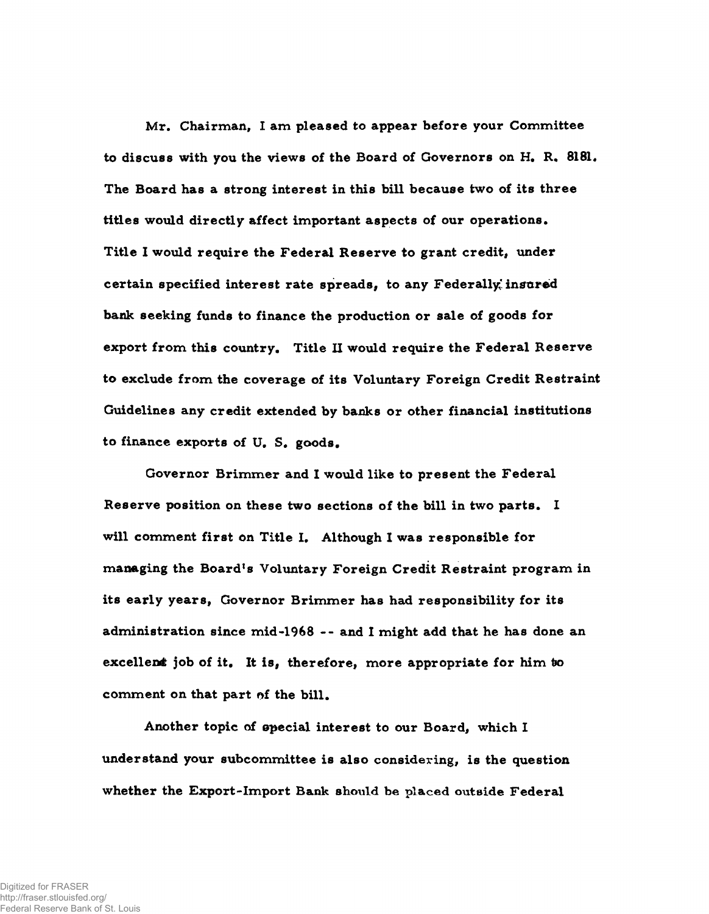Mr. Chairman, I am pleased to appear before your Committee to discuss with you the views of the Board of Governors on H. R. 8181. The Board has a strong interest in this bill because two of its three titles would directly affect important aspects of our operations. Title I would require the Federal Reserve to grant credit, under certain specified interest rate spreads, to any Federally insured bank seeking funds to finance the production or sale of goods for export from this country. Title II would require the Federal Reserve to exclude from the coverage of its Voluntary Foreign Credit Restraint Guidelines any credit extended by banks or other financial institutions to finance exports of U. S. goods.

Governor Brimmer and I would like to present the Federal Reserve position on these two sections of the bill in two parts. I will comment first on Title I. Although I was responsible for managing the Board's Voluntary Foreign Credit Restraint program in its early years, Governor Brimmer has had responsibility for its administration since m id-1968 -- and 1 might add that he has done an excellent job of it. It is, therefore, more appropriate for him to comment on that part of the bill.

Another topic of epecial interest to our Board, which I understand your subcommittee is also considering, is the question whether the Export-Import Bank should be placed outside Federal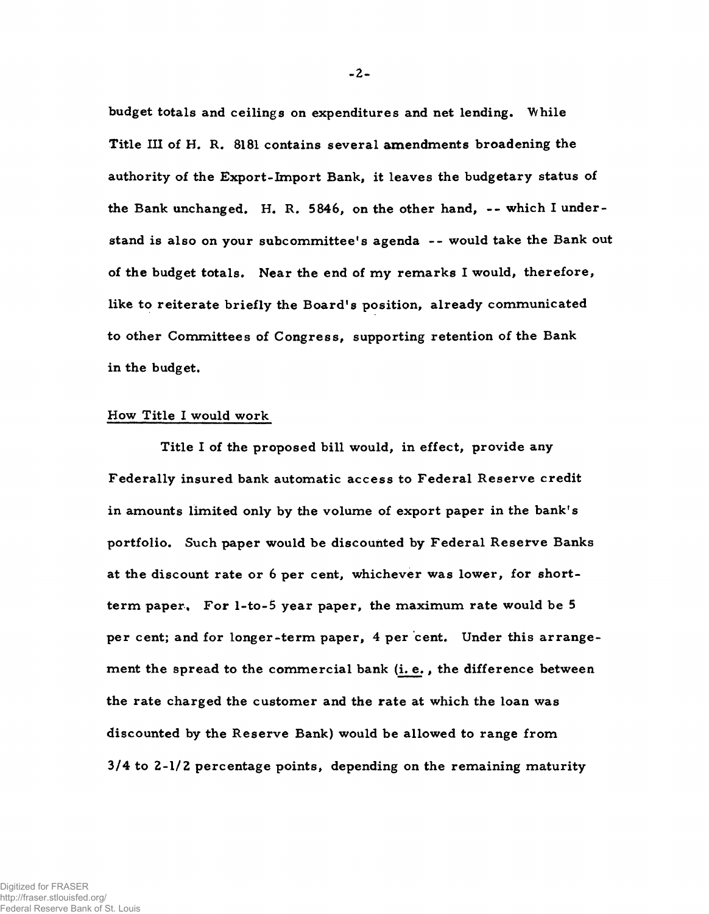budget totals and ceilings on expenditures and net lending. While Title III of H. R. 8181 contains several amendments broadening the authority of the Export-Import Bank, it leaves the budgetary status of the Bank unchanged. H. R. 5846, on the other hand, -- which I understand is also on your subcommittee's agenda -- would take the Bank out of the budget totals. Near the end of my remarks I would, therefore, like to reiterate briefly the Board's position, already communicated to other Committees of Congress, supporting retention of the Bank in the budget.

## How Title I would work

Title I of the proposed bill would, in effect, provide any Federally insured bank automatic access to Federal Reserve credit in amounts limited only by the volume of export paper in the bank's portfolio. Such paper would be discounted by Federal Reserve Banks at the discount rate or 6 per cent, whichever was lower, for shortterm paper. For  $l$ -to-5 year paper, the maximum rate would be 5 per cent; and for longer-term paper, 4 per cent. Under this arrangement the spread to the commercial bank (i. e., the difference between the rate charged the customer and the rate at which the loan was discounted by the Reserve Bank) would be allowed to range from 3/4 to 2-1/2 percentage points, depending on the remaining maturity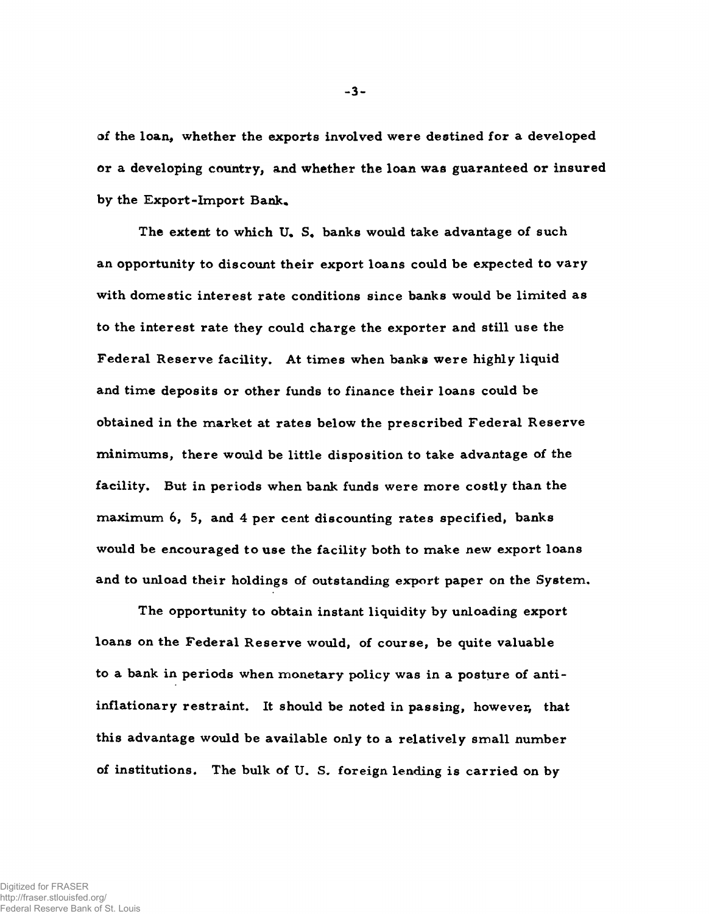of the loan, whether the exports involved were destined for a developed or a developing country, and whether the loan was guaranteed or insured by the Export-Import Bank,

The extent to which U. S, banks would take advantage of such an opportunity to discount their export loans could be expected to vary with domestic interest rate conditions since banks would be limited as to the interest rate they could charge the exporter and still use the Federal Reserve facility. At times when banks were highly liquid and time deposits or other funds to finance their loans could be obtained in the market at rates below the prescribed Federal Reserve minimums, there would be little disposition to take advantage of the facility. But in periods when bank funds were more costly than the maximum  $6$ ,  $5$ , and  $4$  per cent discounting rates specified, banks would be encouraged to use the facility both to make new export loans and to unload their holdings of outstanding export paper on the System.

The opportunity to obtain instant liquidity by unloading export loans on the Federal Reserve would, of course, be quite valuable to a bank in periods when monetary policy was in a posture of antiinflationary restraint. It should be noted in passing, however, that this advantage would be available only to a relatively small number of institutions. The bulk of U. S. foreign lending is carried on by

-3 -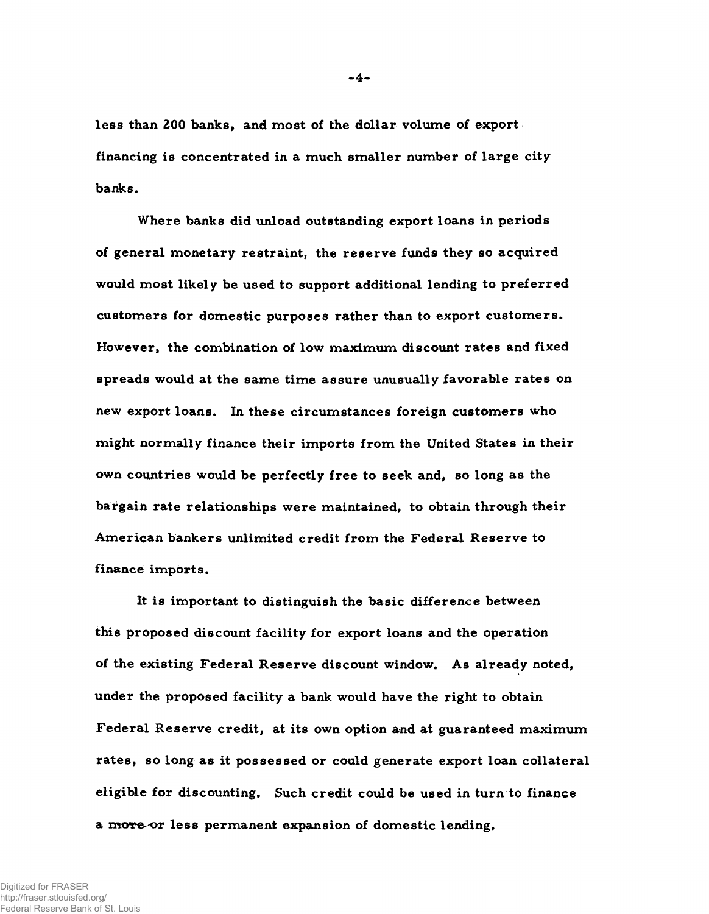less than 200 banks, and most of the dollar volume of exportfinancing is concentrated in a much smaller number of large city banks.

Where banks did unload outstanding export loans in periods of general monetary restraint, the reserve funds they so acquired would most likely be used to support additional lending to preferred customers for domestic purposes rather than to export customers. However, the combination of low maximum discount rates and fixed spreads would at the same time assure unusually favorable rates on new export loans. In these circumstances foreign customers who might normally finance their imports from the United States in their own countries would be perfectly free to seek and, so long as the bargain rate relationships were maintained, to obtain through their American bankers unlimited credit from the Federal Reserve to finance imports.

It is important to distinguish the basic difference between this proposed discount facility for export loans and the operation of the existing Federal Reserve discount window. As already noted, under the proposed facility a bank would have the right to obtain Federal Reserve credit, at its own option and at guaranteed maximum rates, so long as it possessed or could generate export loan collateral eligible for discounting. Such credit could be used in turn to finance a more or less permanent expansion of domestic lending.

Digitized for FRASER http://fraser.stlouisfed.org/ Federal Reserve Bank of St. Louis **-4-**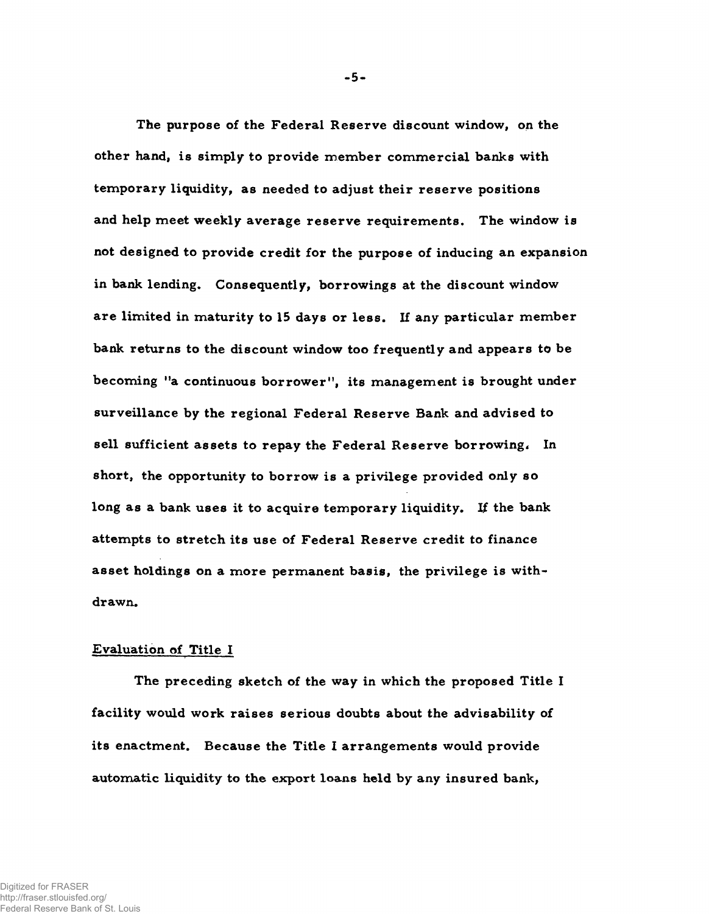The purpose of the Federal Reserve discount window, on the other hand, is simply to provide member commercial banks with temporary liquidity, as needed to adjust their reserve positions and help meet weekly average reserve requirements. The window is not designed to provide credit for the purpose of inducing an expansion in bank lending. Consequently, borrowings at the discount window are limited in maturity to 15 days or less. If any particular member bank returns to the discount window too frequently and appears to be becoming "a continuous borrower", its management is brought under surveillance by the regional Federal Reserve Bank and advised to sell sufficient assets to repay the Federal Reserve borrowing. In short, the opportunity to borrow is a privilege provided only so long as a bank uses it to acquire temporary liquidity. If the bank attempts to stretch its use of Federal Reserve credit to finance asset holdings on a more permanent basis, the privilege is withdrawn.

#### Evaluation of Title I

The preceding sketch of the way in which the proposed Title I facility would work raises serious doubts about the advisability of its enactment. Because the Title I arrangements would provide automatic liquidity to the export loans held by any insured bank,

**-5-**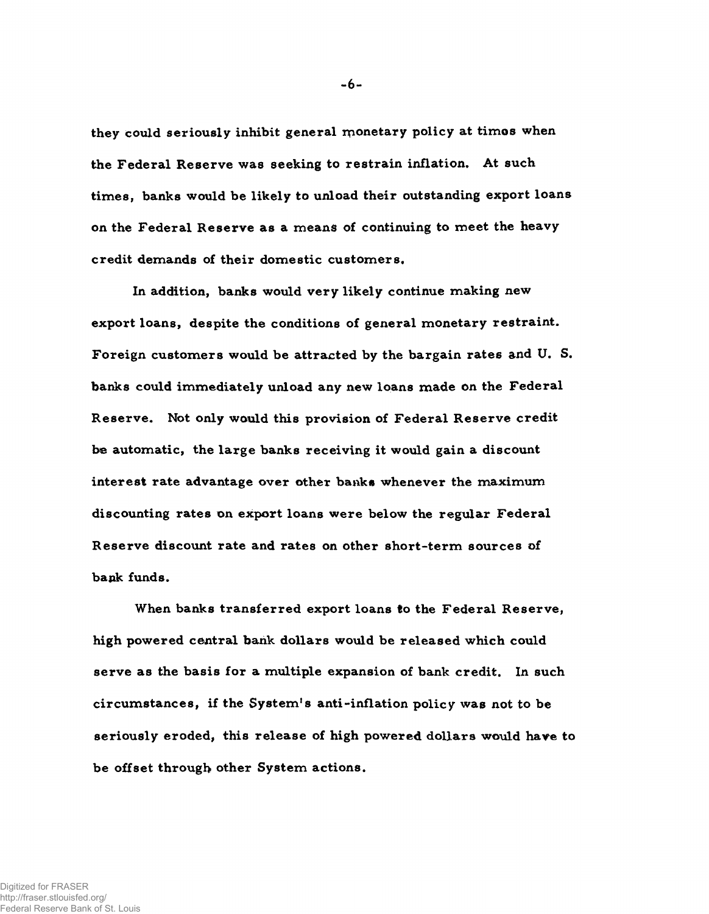they could seriously inhibit general monetary policy at timos when the Federal Reserve was seeking to restrain inflation. At such times, banks would be likely to unload their outstanding export loans on the Federal Reserve as a means of continuing to meet the heavy credit demands of their domestic customers.

In addition, banks would very likely continue making new export loans, despite the conditions of general monetary restraint. Foreign customers would be attracted by the bargain rates and U.S. banks could immediately unload any new loans made on the Federal Reserve. Not only would this provision of Federal Reserve credit be automatic, the large banks receiving it would gain a discount interest rate advantage over other banks whenever the maximum discounting rates on export loans were below the regular Federal Reserve discount rate and rates on other short-term sources of bank funds.

When banks transferred export loans to the Federal Reserve, high powered central bank dollars would be released which could serve as the basis for a multiple expansion of bank credit. In such circumstances, if the System's anti-inflation policy was not to be seriously eroded, this release of high powered dollars would have to be offset through other System actions.

**-6-**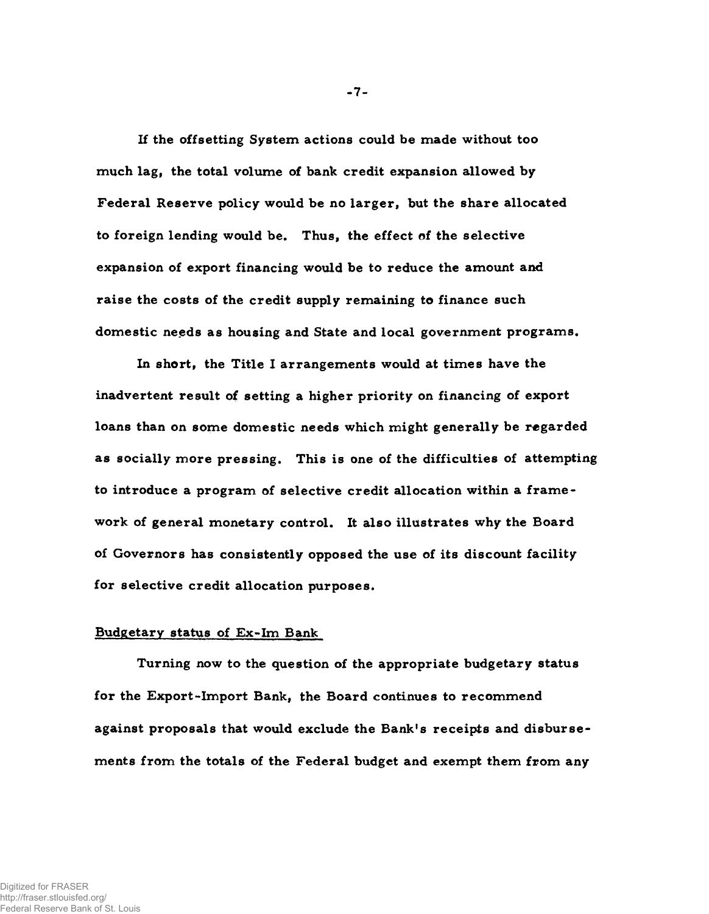If the offsetting System actions could be made without too much lag, the total volume of bank credit expansion allowed by Federal Reserve policy would be no larger, but the share allocated to foreign lending would be. Thus, the effect of the selective expansion of export financing would be to reduce the amount and raise the costs of the credit supply remaining to finance such domestic needs as housing and State and local government programs.

In short, the Title I arrangements would at times have the inadvertent result of setting a higher priority on financing of export loans than on some domestic needs which might generally be regarded as socially more pressing. This is one of the difficulties of attempting to introduce a program of selective credit allocation within a framework of general monetary control. It also illustrates why the Board of Governors has consistently opposed the use of its discount facility for selective credit allocation purposes.

### Budgetary status of Ex-Im Bank

Turning now to the question of the appropriate budgetary status for the Export-Import Bank, the Board continues to recommend against proposals that would exclude the Bank's receipts and disbursements from the totals of the Federal budget and exempt them from any

 $-7-$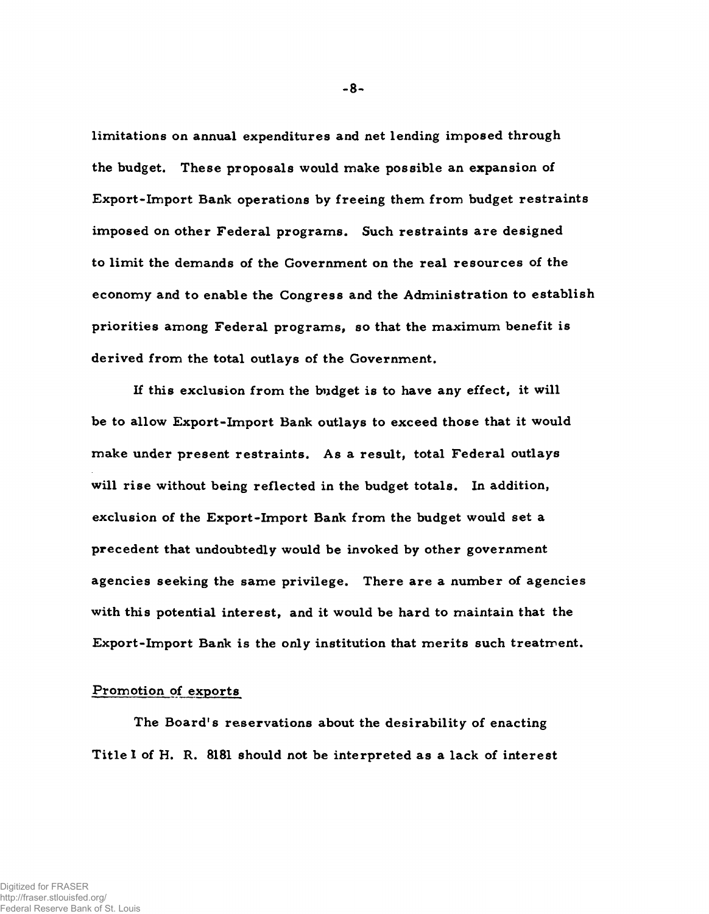limitations on annual expenditures and net lending imposed through the budget. These proposals would make possible an expansion of Export-Import Bank operations by freeing them from budget restraints imposed on other Federal programs. Such restraints are designed to limit the demands of the Government on the real resources of the economy and to enable the Congress and the Administration to establish priorities among Federal programs, so that the maximum benefit is derived from the total outlays of the Government.

If this exclusion from the budget is to have any effect, it will be to allow Export-Import Bank outlays to exceed those that it would make under present restraints. As a result, total Federal outlays will rise without being reflected in the budget totals. In addition, exclusion of the Export-Import Bank from the budget would set a precedent that undoubtedly would be invoked by other government agencies seeking the same privilege. There are a number of agencies with this potential interest, and it would be hard to maintain that the Export-Import Bank is the only institution that merits such treatment.

## Promotion of exports

The Board's reservations about the desirability of enacting Title I of H. R. 8181 should not be interpreted as a lack of interest

**-8**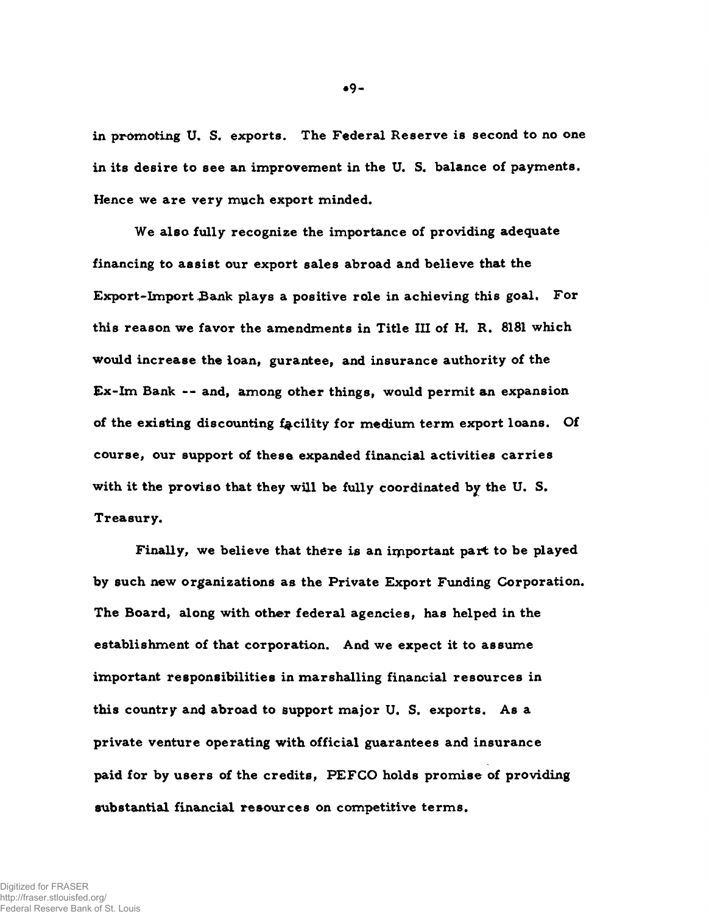in promoting U. S. exports. The Federal Reserve is second to no one in its desire to see an improvement in the U. S. balance of payments. Hence we are very much export minded.

We also fully recognize the importance of providing adequate financing to assist our export sales abroad and believe that the Export-Import Bank plays a positive role in achieving this goal. For this reason we favor the amendments in Title III of H. R. 8181 which would increase the loan, gurantee, and insurance authority of the Ex-Im Bank -- and, among other things, would permit an expansion of the existing discounting facility for medium term export loans. Of course, our support of these expanded financial activities carries with it the proviso that they wiil be fully coordinated by the U. S. Treasury.

Finally, we believe that there is an important part to be played by such new organizations as the Private Export Funding Corporation. The Board, along with other federal agencies, has helped in the establishment of that corporation. And we expect it to assume important responsibilities in marshalling financial resources in this country and abroad to support major U. S. exports. As a private venture operating with official guarantees and insurance paid for by users of the credits, PEFCO holds promise of providing substantial financial resources on competitive terms.

**\*9-**